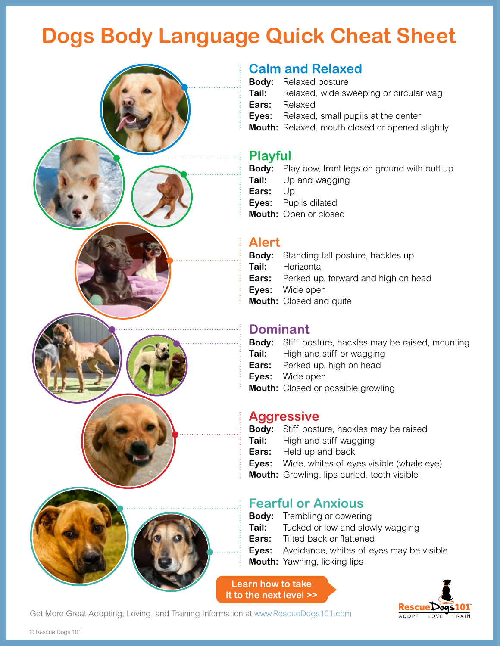# **Dogs Body Language Quick Cheat Sheet**



#### **Calm and Relaxed**

| <b>Body:</b> Relaxed posture                           |
|--------------------------------------------------------|
| Tail: Relaxed, wide sweeping or circular wag           |
| <b>Ears:</b> Relaxed                                   |
| <b>Eyes:</b> Relaxed, small pupils at the center       |
| <b>Mouth:</b> Relaxed, mouth closed or opened slightly |
|                                                        |

#### **Playful**

- **Body:** Play bow, front legs on ground with butt up
- **Tail:** Up and wagging
- **Ears:** Up
- **Eyes:** Pupils dilated
- **Mouth:** Open or closed

#### **Alert**

- **Body:** Standing tall posture, hackles up
- **Tail:** Horizontal
- **Ears:** Perked up, forward and high on head
- **Eyes:** Wide open
- **Mouth:** Closed and quite

#### **Dominant**

- **Body:** Stiff posture, hackles may be raised, mounting
- **Tail:** High and stiff or wagging
- **Ears:** Perked up, high on head
- **Eyes:** Wide open
- **Mouth:** Closed or possible growling

#### **Aggressive**

- **Body:** Stiff posture, hackles may be raised
- **Tail:** High and stiff wagging
- **Ears:** Held up and back
- **Eyes:** Wide, whites of eyes visible (whale eye)
- **Mouth:** Growling, lips curled, teeth visible

#### **Fearful or Anxious**

- **Body:** Trembling or cowering
- **Tail:** Tucked or low and slowly wagging
- **Ears:** Tilted back or flattened
- **Eyes:** Avoidance, whites of eyes may be visible
- **Mouth:** Yawning, licking lips

**Learn how to take [it to the next level >>](https://www.rescuedogs101.com/dog-body-language-101-book/)**



Get More Great Adopting, Loving, and Training Information at www.RescueDogs101.com